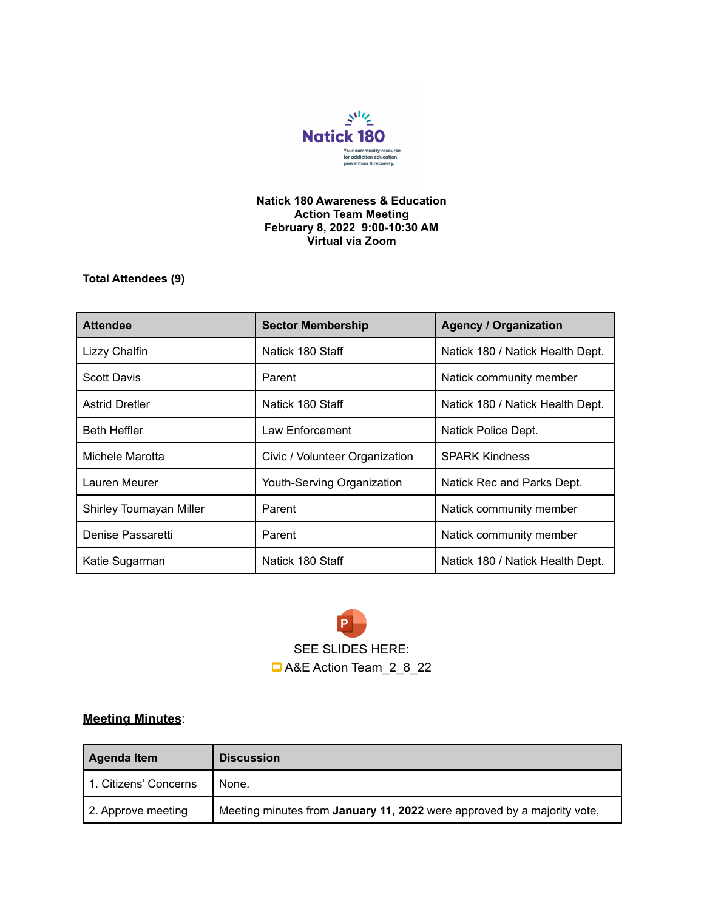

## **Natick 180 Awareness & Education Action Team Meeting February 8, 2022 9:00-10:30 AM Virtual via Zoom**

**Total Attendees (9)**

| <b>Attendee</b>         | <b>Sector Membership</b>       | <b>Agency / Organization</b>     |
|-------------------------|--------------------------------|----------------------------------|
| Lizzy Chalfin           | Natick 180 Staff               | Natick 180 / Natick Health Dept. |
| <b>Scott Davis</b>      | Parent                         | Natick community member          |
| <b>Astrid Dretler</b>   | Natick 180 Staff               | Natick 180 / Natick Health Dept. |
| <b>Beth Heffler</b>     | Law Enforcement                | Natick Police Dept.              |
| Michele Marotta         | Civic / Volunteer Organization | <b>SPARK Kindness</b>            |
| Lauren Meurer           | Youth-Serving Organization     | Natick Rec and Parks Dept.       |
| Shirley Toumayan Miller | Parent                         | Natick community member          |
| Denise Passaretti       | Parent                         | Natick community member          |
| Katie Sugarman          | Natick 180 Staff               | Natick 180 / Natick Health Dept. |

P SEE SLIDES HERE: A&E Action [Team\\_2\\_8\\_22](https://docs.google.com/presentation/d/1ble9O-1tUiWrgHynE4xfTeOjWR-huzFJMlteIS9KVSM/edit#slide=id.p1)

## **Meeting Minutes**:

| <b>Agenda Item</b>    | <b>Discussion</b>                                                              |
|-----------------------|--------------------------------------------------------------------------------|
| 1. Citizens' Concerns | None.                                                                          |
| 2. Approve meeting    | Meeting minutes from <b>January 11, 2022</b> were approved by a majority vote, |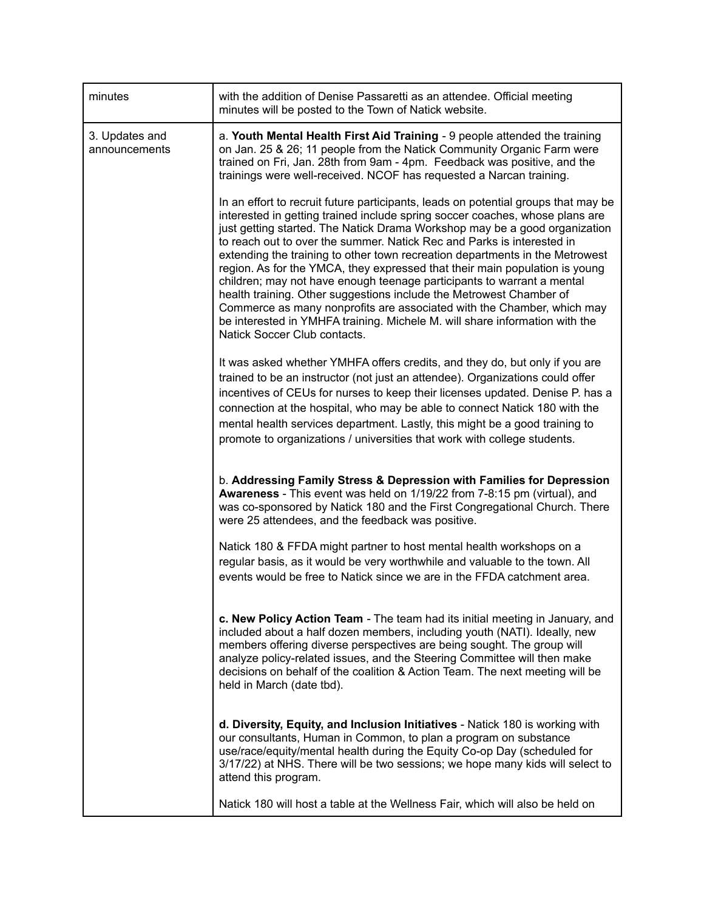| minutes                         | with the addition of Denise Passaretti as an attendee. Official meeting<br>minutes will be posted to the Town of Natick website.                                                                                                                                                                                                                                                                                                                                                                                                                                                                                                                                                                                                                                                                                                    |
|---------------------------------|-------------------------------------------------------------------------------------------------------------------------------------------------------------------------------------------------------------------------------------------------------------------------------------------------------------------------------------------------------------------------------------------------------------------------------------------------------------------------------------------------------------------------------------------------------------------------------------------------------------------------------------------------------------------------------------------------------------------------------------------------------------------------------------------------------------------------------------|
| 3. Updates and<br>announcements | a. Youth Mental Health First Aid Training - 9 people attended the training<br>on Jan. 25 & 26; 11 people from the Natick Community Organic Farm were<br>trained on Fri, Jan. 28th from 9am - 4pm. Feedback was positive, and the<br>trainings were well-received. NCOF has requested a Narcan training.                                                                                                                                                                                                                                                                                                                                                                                                                                                                                                                             |
|                                 | In an effort to recruit future participants, leads on potential groups that may be<br>interested in getting trained include spring soccer coaches, whose plans are<br>just getting started. The Natick Drama Workshop may be a good organization<br>to reach out to over the summer. Natick Rec and Parks is interested in<br>extending the training to other town recreation departments in the Metrowest<br>region. As for the YMCA, they expressed that their main population is young<br>children; may not have enough teenage participants to warrant a mental<br>health training. Other suggestions include the Metrowest Chamber of<br>Commerce as many nonprofits are associated with the Chamber, which may<br>be interested in YMHFA training. Michele M. will share information with the<br>Natick Soccer Club contacts. |
|                                 | It was asked whether YMHFA offers credits, and they do, but only if you are<br>trained to be an instructor (not just an attendee). Organizations could offer<br>incentives of CEUs for nurses to keep their licenses updated. Denise P. has a<br>connection at the hospital, who may be able to connect Natick 180 with the<br>mental health services department. Lastly, this might be a good training to<br>promote to organizations / universities that work with college students.                                                                                                                                                                                                                                                                                                                                              |
|                                 | b. Addressing Family Stress & Depression with Families for Depression<br>Awareness - This event was held on 1/19/22 from 7-8:15 pm (virtual), and<br>was co-sponsored by Natick 180 and the First Congregational Church. There<br>were 25 attendees, and the feedback was positive.                                                                                                                                                                                                                                                                                                                                                                                                                                                                                                                                                 |
|                                 | Natick 180 & FFDA might partner to host mental health workshops on a<br>regular basis, as it would be very worthwhile and valuable to the town. All<br>events would be free to Natick since we are in the FFDA catchment area.                                                                                                                                                                                                                                                                                                                                                                                                                                                                                                                                                                                                      |
|                                 | c. New Policy Action Team - The team had its initial meeting in January, and<br>included about a half dozen members, including youth (NATI). Ideally, new<br>members offering diverse perspectives are being sought. The group will<br>analyze policy-related issues, and the Steering Committee will then make<br>decisions on behalf of the coalition & Action Team. The next meeting will be<br>held in March (date tbd).                                                                                                                                                                                                                                                                                                                                                                                                        |
|                                 | d. Diversity, Equity, and Inclusion Initiatives - Natick 180 is working with<br>our consultants, Human in Common, to plan a program on substance<br>use/race/equity/mental health during the Equity Co-op Day (scheduled for<br>3/17/22) at NHS. There will be two sessions; we hope many kids will select to<br>attend this program.                                                                                                                                                                                                                                                                                                                                                                                                                                                                                               |
|                                 | Natick 180 will host a table at the Wellness Fair, which will also be held on                                                                                                                                                                                                                                                                                                                                                                                                                                                                                                                                                                                                                                                                                                                                                       |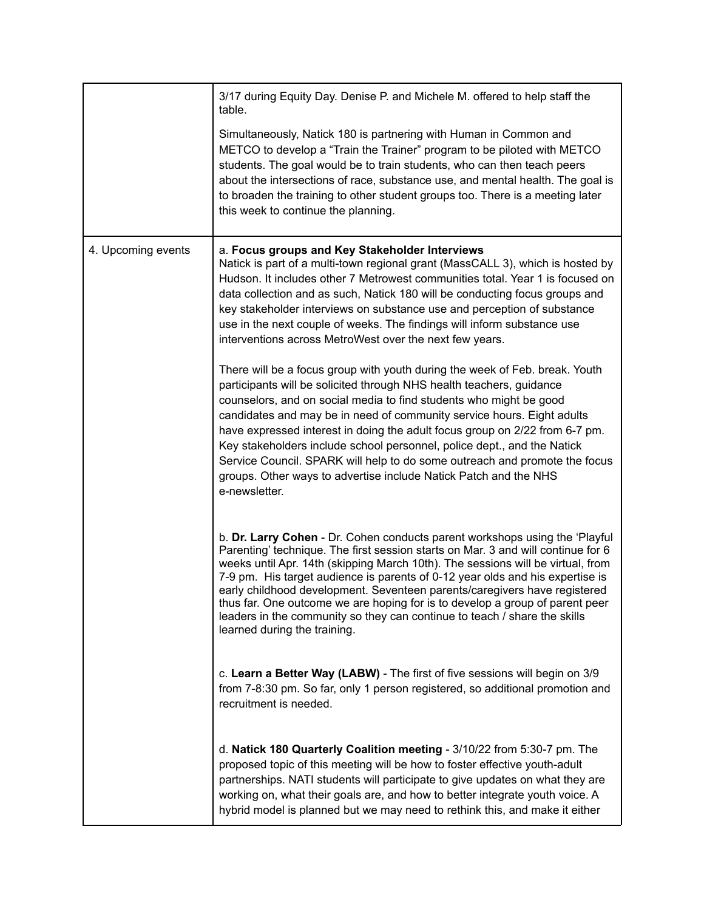|                    | 3/17 during Equity Day. Denise P. and Michele M. offered to help staff the<br>table.                                                                                                                                                                                                                                                                                                                                                                                                                                                                                                                                             |
|--------------------|----------------------------------------------------------------------------------------------------------------------------------------------------------------------------------------------------------------------------------------------------------------------------------------------------------------------------------------------------------------------------------------------------------------------------------------------------------------------------------------------------------------------------------------------------------------------------------------------------------------------------------|
|                    | Simultaneously, Natick 180 is partnering with Human in Common and<br>METCO to develop a "Train the Trainer" program to be piloted with METCO<br>students. The goal would be to train students, who can then teach peers<br>about the intersections of race, substance use, and mental health. The goal is<br>to broaden the training to other student groups too. There is a meeting later<br>this week to continue the planning.                                                                                                                                                                                                |
| 4. Upcoming events | a. Focus groups and Key Stakeholder Interviews<br>Natick is part of a multi-town regional grant (MassCALL 3), which is hosted by<br>Hudson. It includes other 7 Metrowest communities total. Year 1 is focused on<br>data collection and as such, Natick 180 will be conducting focus groups and<br>key stakeholder interviews on substance use and perception of substance<br>use in the next couple of weeks. The findings will inform substance use<br>interventions across MetroWest over the next few years.                                                                                                                |
|                    | There will be a focus group with youth during the week of Feb. break. Youth<br>participants will be solicited through NHS health teachers, guidance<br>counselors, and on social media to find students who might be good<br>candidates and may be in need of community service hours. Eight adults<br>have expressed interest in doing the adult focus group on 2/22 from 6-7 pm.<br>Key stakeholders include school personnel, police dept., and the Natick<br>Service Council. SPARK will help to do some outreach and promote the focus<br>groups. Other ways to advertise include Natick Patch and the NHS<br>e-newsletter. |
|                    | b. Dr. Larry Cohen - Dr. Cohen conducts parent workshops using the 'Playful<br>Parenting' technique. The first session starts on Mar. 3 and will continue for 6<br>weeks until Apr. 14th (skipping March 10th). The sessions will be virtual, from<br>7-9 pm. His target audience is parents of 0-12 year olds and his expertise is<br>early childhood development. Seventeen parents/caregivers have registered<br>thus far. One outcome we are hoping for is to develop a group of parent peer<br>leaders in the community so they can continue to teach / share the skills<br>learned during the training.                    |
|                    | c. Learn a Better Way (LABW) - The first of five sessions will begin on 3/9<br>from 7-8:30 pm. So far, only 1 person registered, so additional promotion and<br>recruitment is needed.                                                                                                                                                                                                                                                                                                                                                                                                                                           |
|                    | d. Natick 180 Quarterly Coalition meeting - 3/10/22 from 5:30-7 pm. The<br>proposed topic of this meeting will be how to foster effective youth-adult<br>partnerships. NATI students will participate to give updates on what they are<br>working on, what their goals are, and how to better integrate youth voice. A<br>hybrid model is planned but we may need to rethink this, and make it either                                                                                                                                                                                                                            |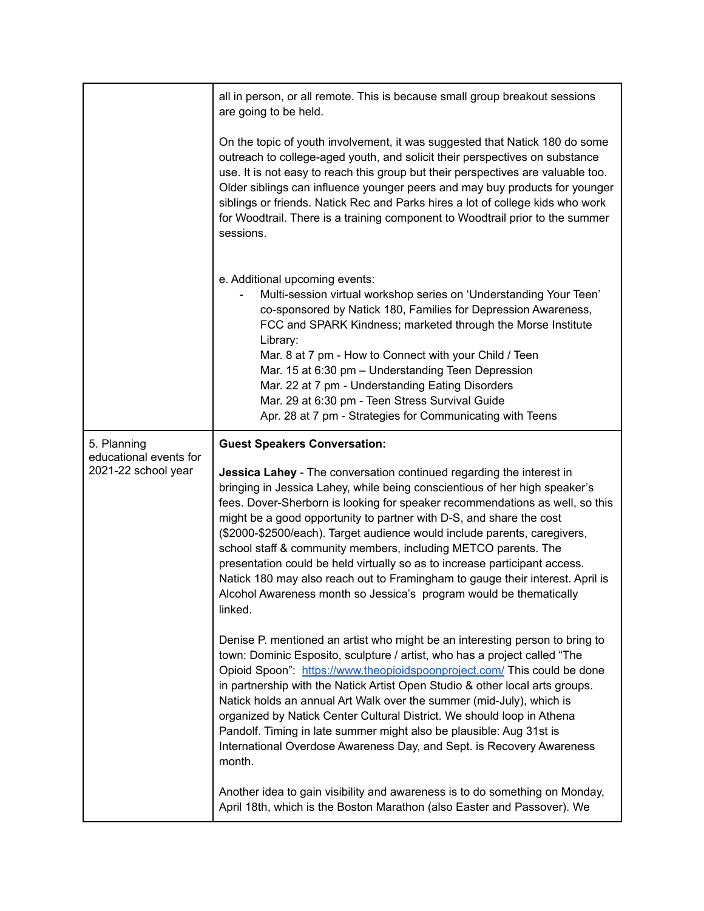|                                               | all in person, or all remote. This is because small group breakout sessions<br>are going to be held.                                                                                                                                                                                                                                                                                                                                                                                                                                                                                                                                                                                                    |
|-----------------------------------------------|---------------------------------------------------------------------------------------------------------------------------------------------------------------------------------------------------------------------------------------------------------------------------------------------------------------------------------------------------------------------------------------------------------------------------------------------------------------------------------------------------------------------------------------------------------------------------------------------------------------------------------------------------------------------------------------------------------|
|                                               | On the topic of youth involvement, it was suggested that Natick 180 do some<br>outreach to college-aged youth, and solicit their perspectives on substance<br>use. It is not easy to reach this group but their perspectives are valuable too.<br>Older siblings can influence younger peers and may buy products for younger<br>siblings or friends. Natick Rec and Parks hires a lot of college kids who work<br>for Woodtrail. There is a training component to Woodtrail prior to the summer<br>sessions.                                                                                                                                                                                           |
|                                               | e. Additional upcoming events:<br>Multi-session virtual workshop series on 'Understanding Your Teen'<br>co-sponsored by Natick 180, Families for Depression Awareness,<br>FCC and SPARK Kindness; marketed through the Morse Institute<br>Library:<br>Mar. 8 at 7 pm - How to Connect with your Child / Teen<br>Mar. 15 at 6:30 pm - Understanding Teen Depression<br>Mar. 22 at 7 pm - Understanding Eating Disorders<br>Mar. 29 at 6:30 pm - Teen Stress Survival Guide<br>Apr. 28 at 7 pm - Strategies for Communicating with Teens                                                                                                                                                                  |
| 5. Planning                                   | <b>Guest Speakers Conversation:</b>                                                                                                                                                                                                                                                                                                                                                                                                                                                                                                                                                                                                                                                                     |
| educational events for<br>2021-22 school year | Jessica Lahey - The conversation continued regarding the interest in<br>bringing in Jessica Lahey, while being conscientious of her high speaker's<br>fees. Dover-Sherborn is looking for speaker recommendations as well, so this<br>might be a good opportunity to partner with D-S, and share the cost<br>(\$2000-\$2500/each). Target audience would include parents, caregivers,<br>school staff & community members, including METCO parents. The<br>presentation could be held virtually so as to increase participant access.<br>Natick 180 may also reach out to Framingham to gauge their interest. April is<br>Alcohol Awareness month so Jessica's program would be thematically<br>linked. |
|                                               | Denise P. mentioned an artist who might be an interesting person to bring to<br>town: Dominic Esposito, sculpture / artist, who has a project called "The<br>Opioid Spoon": https://www.theopioidspoonproject.com/ This could be done<br>in partnership with the Natick Artist Open Studio & other local arts groups.<br>Natick holds an annual Art Walk over the summer (mid-July), which is<br>organized by Natick Center Cultural District. We should loop in Athena<br>Pandolf. Timing in late summer might also be plausible: Aug 31st is<br>International Overdose Awareness Day, and Sept. is Recovery Awareness<br>month.                                                                       |
|                                               | Another idea to gain visibility and awareness is to do something on Monday,<br>April 18th, which is the Boston Marathon (also Easter and Passover). We                                                                                                                                                                                                                                                                                                                                                                                                                                                                                                                                                  |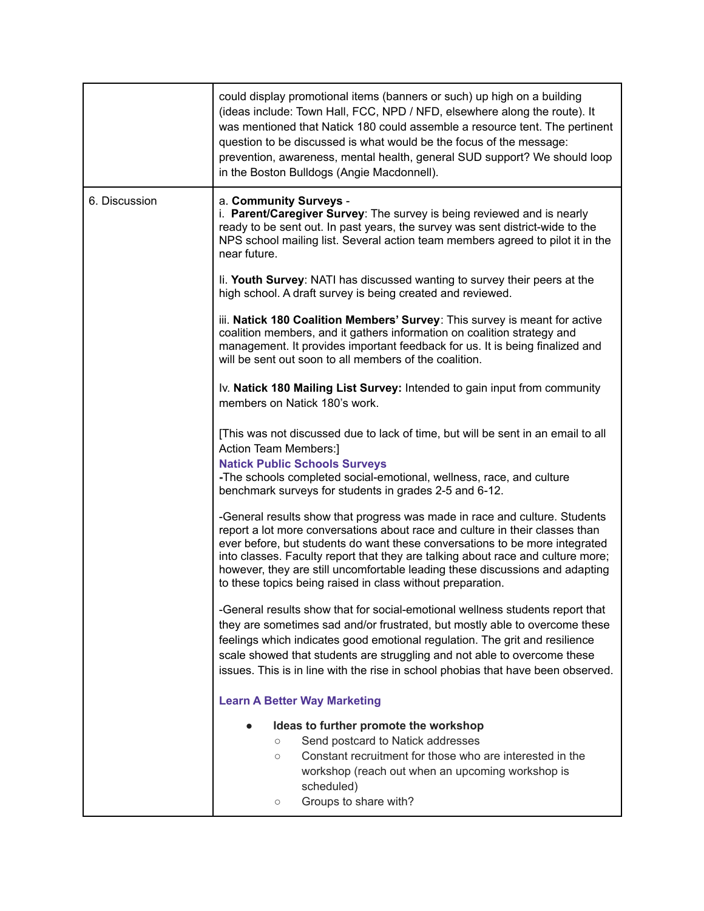|               | could display promotional items (banners or such) up high on a building<br>(ideas include: Town Hall, FCC, NPD / NFD, elsewhere along the route). It<br>was mentioned that Natick 180 could assemble a resource tent. The pertinent<br>question to be discussed is what would be the focus of the message:<br>prevention, awareness, mental health, general SUD support? We should loop<br>in the Boston Bulldogs (Angie Macdonnell).                                                                                                |
|---------------|--------------------------------------------------------------------------------------------------------------------------------------------------------------------------------------------------------------------------------------------------------------------------------------------------------------------------------------------------------------------------------------------------------------------------------------------------------------------------------------------------------------------------------------|
| 6. Discussion | a. Community Surveys -<br>i. Parent/Caregiver Survey: The survey is being reviewed and is nearly<br>ready to be sent out. In past years, the survey was sent district-wide to the<br>NPS school mailing list. Several action team members agreed to pilot it in the<br>near future.                                                                                                                                                                                                                                                  |
|               | li. Youth Survey: NATI has discussed wanting to survey their peers at the<br>high school. A draft survey is being created and reviewed.                                                                                                                                                                                                                                                                                                                                                                                              |
|               | iii. Natick 180 Coalition Members' Survey: This survey is meant for active<br>coalition members, and it gathers information on coalition strategy and<br>management. It provides important feedback for us. It is being finalized and<br>will be sent out soon to all members of the coalition.                                                                                                                                                                                                                                      |
|               | Iv. Natick 180 Mailing List Survey: Intended to gain input from community<br>members on Natick 180's work.                                                                                                                                                                                                                                                                                                                                                                                                                           |
|               | [This was not discussed due to lack of time, but will be sent in an email to all<br>Action Team Members:]<br><b>Natick Public Schools Surveys</b><br>-The schools completed social-emotional, wellness, race, and culture                                                                                                                                                                                                                                                                                                            |
|               | benchmark surveys for students in grades 2-5 and 6-12.<br>-General results show that progress was made in race and culture. Students<br>report a lot more conversations about race and culture in their classes than<br>ever before, but students do want these conversations to be more integrated<br>into classes. Faculty report that they are talking about race and culture more;<br>however, they are still uncomfortable leading these discussions and adapting<br>to these topics being raised in class without preparation. |
|               | -General results show that for social-emotional wellness students report that<br>they are sometimes sad and/or frustrated, but mostly able to overcome these<br>feelings which indicates good emotional regulation. The grit and resilience<br>scale showed that students are struggling and not able to overcome these<br>issues. This is in line with the rise in school phobias that have been observed.                                                                                                                          |
|               | <b>Learn A Better Way Marketing</b>                                                                                                                                                                                                                                                                                                                                                                                                                                                                                                  |
|               | Ideas to further promote the workshop<br>Send postcard to Natick addresses<br>$\circ$<br>Constant recruitment for those who are interested in the<br>$\circ$<br>workshop (reach out when an upcoming workshop is<br>scheduled)<br>Groups to share with?<br>О                                                                                                                                                                                                                                                                         |